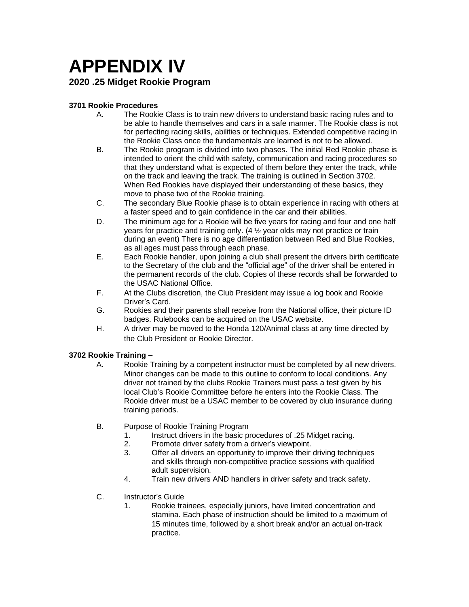# **APPENDIX IV 2020 .25 Midget Rookie Program**

## **3701 Rookie Procedures**

- A. The Rookie Class is to train new drivers to understand basic racing rules and to be able to handle themselves and cars in a safe manner. The Rookie class is not for perfecting racing skills, abilities or techniques. Extended competitive racing in the Rookie Class once the fundamentals are learned is not to be allowed.
- B. The Rookie program is divided into two phases. The initial Red Rookie phase is intended to orient the child with safety, communication and racing procedures so that they understand what is expected of them before they enter the track, while on the track and leaving the track. The training is outlined in Section 3702. When Red Rookies have displayed their understanding of these basics, they move to phase two of the Rookie training.
- C. The secondary Blue Rookie phase is to obtain experience in racing with others at a faster speed and to gain confidence in the car and their abilities.
- D. The minimum age for a Rookie will be five years for racing and four and one half years for practice and training only. (4 ½ year olds may not practice or train during an event) There is no age differentiation between Red and Blue Rookies, as all ages must pass through each phase.
- E. Each Rookie handler, upon joining a club shall present the drivers birth certificate to the Secretary of the club and the "official age" of the driver shall be entered in the permanent records of the club. Copies of these records shall be forwarded to the USAC National Office.
- F. At the Clubs discretion, the Club President may issue a log book and Rookie Driver's Card.
- G. Rookies and their parents shall receive from the National office, their picture ID badges. Rulebooks can be acquired on the USAC website.
- H. A driver may be moved to the Honda 120/Animal class at any time directed by the Club President or Rookie Director.

## **3702 Rookie Training –**

- A. Rookie Training by a competent instructor must be completed by all new drivers. Minor changes can be made to this outline to conform to local conditions. Any driver not trained by the clubs Rookie Trainers must pass a test given by his local Club's Rookie Committee before he enters into the Rookie Class. The Rookie driver must be a USAC member to be covered by club insurance during training periods.
- B. Purpose of Rookie Training Program
	- 1. Instruct drivers in the basic procedures of .25 Midget racing.
	- 2. Promote driver safety from a driver's viewpoint.
	- 3. Offer all drivers an opportunity to improve their driving techniques and skills through non-competitive practice sessions with qualified adult supervision.
	- 4. Train new drivers AND handlers in driver safety and track safety.
- C. Instructor's Guide
	- 1. Rookie trainees, especially juniors, have limited concentration and stamina. Each phase of instruction should be limited to a maximum of 15 minutes time, followed by a short break and/or an actual on-track practice.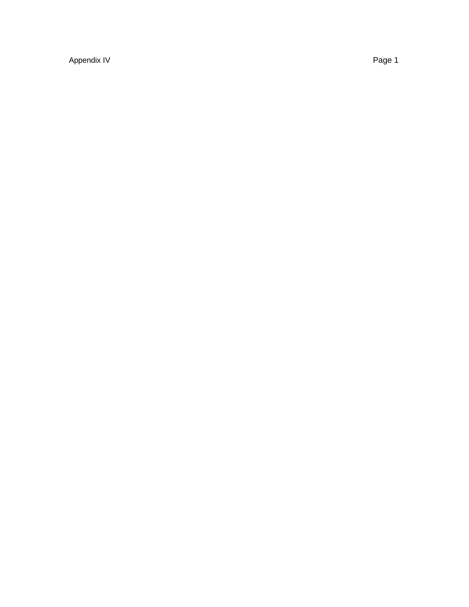Appendix IV Page 1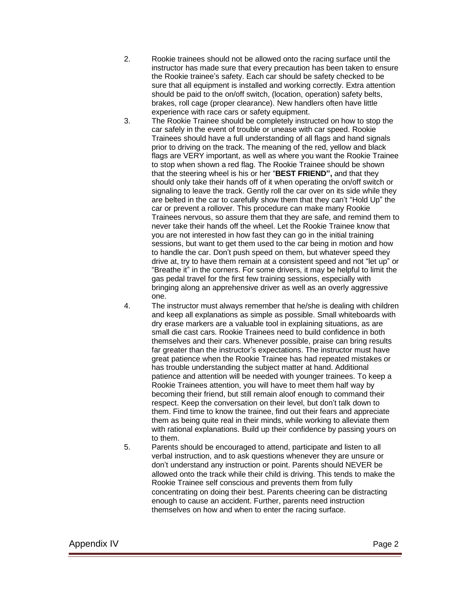- 2. Rookie trainees should not be allowed onto the racing surface until the instructor has made sure that every precaution has been taken to ensure the Rookie trainee's safety. Each car should be safety checked to be sure that all equipment is installed and working correctly. Extra attention should be paid to the on/off switch, (location, operation) safety belts, brakes, roll cage (proper clearance). New handlers often have little experience with race cars or safety equipment.
- 3. The Rookie Trainee should be completely instructed on how to stop the car safely in the event of trouble or unease with car speed. Rookie Trainees should have a full understanding of all flags and hand signals prior to driving on the track. The meaning of the red, yellow and black flags are VERY important, as well as where you want the Rookie Trainee to stop when shown a red flag. The Rookie Trainee should be shown that the steering wheel is his or her "**BEST FRIEND",** and that they should only take their hands off of it when operating the on/off switch or signaling to leave the track. Gently roll the car over on its side while they are belted in the car to carefully show them that they can't "Hold Up" the car or prevent a rollover. This procedure can make many Rookie Trainees nervous, so assure them that they are safe, and remind them to never take their hands off the wheel. Let the Rookie Trainee know that you are not interested in how fast they can go in the initial training sessions, but want to get them used to the car being in motion and how to handle the car. Don't push speed on them, but whatever speed they drive at, try to have them remain at a consistent speed and not "let up" or "Breathe it" in the corners. For some drivers, it may be helpful to limit the gas pedal travel for the first few training sessions, especially with bringing along an apprehensive driver as well as an overly aggressive one.
- 4. The instructor must always remember that he/she is dealing with children and keep all explanations as simple as possible. Small whiteboards with dry erase markers are a valuable tool in explaining situations, as are small die cast cars. Rookie Trainees need to build confidence in both themselves and their cars. Whenever possible, praise can bring results far greater than the instructor's expectations. The instructor must have great patience when the Rookie Trainee has had repeated mistakes or has trouble understanding the subject matter at hand. Additional patience and attention will be needed with younger trainees. To keep a Rookie Trainees attention, you will have to meet them half way by becoming their friend, but still remain aloof enough to command their respect. Keep the conversation on their level, but don't talk down to them. Find time to know the trainee, find out their fears and appreciate them as being quite real in their minds, while working to alleviate them with rational explanations. Build up their confidence by passing yours on to them.
- 5. Parents should be encouraged to attend, participate and listen to all verbal instruction, and to ask questions whenever they are unsure or don't understand any instruction or point. Parents should NEVER be allowed onto the track while their child is driving. This tends to make the Rookie Trainee self conscious and prevents them from fully concentrating on doing their best. Parents cheering can be distracting enough to cause an accident. Further, parents need instruction themselves on how and when to enter the racing surface.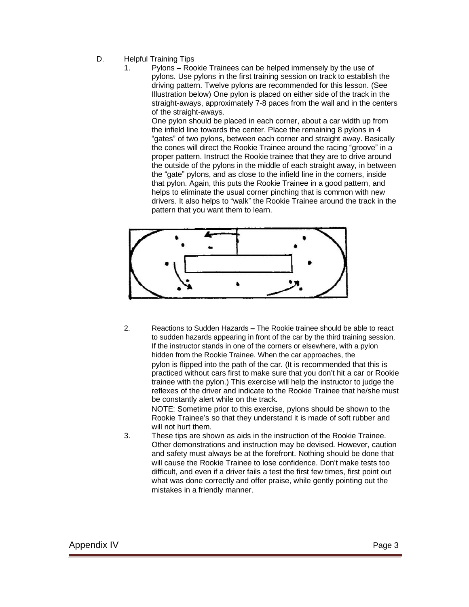- D. Helpful Training Tips
	- 1. Pylons **–** Rookie Trainees can be helped immensely by the use of pylons. Use pylons in the first training session on track to establish the driving pattern. Twelve pylons are recommended for this lesson. (See Illustration below) One pylon is placed on either side of the track in the straight-aways, approximately 7-8 paces from the wall and in the centers of the straight-aways.

One pylon should be placed in each corner, about a car width up from the infield line towards the center. Place the remaining 8 pylons in 4 "gates" of two pylons, between each corner and straight away. Basically the cones will direct the Rookie Trainee around the racing "groove" in a proper pattern. Instruct the Rookie trainee that they are to drive around the outside of the pylons in the middle of each straight away, in between the "gate" pylons, and as close to the infield line in the corners, inside that pylon. Again, this puts the Rookie Trainee in a good pattern, and helps to eliminate the usual corner pinching that is common with new drivers. It also helps to "walk" the Rookie Trainee around the track in the pattern that you want them to learn.



2. Reactions to Sudden Hazards **–** The Rookie trainee should be able to react to sudden hazards appearing in front of the car by the third training session. If the instructor stands in one of the corners or elsewhere, with a pylon hidden from the Rookie Trainee. When the car approaches, the pylon is flipped into the path of the car. (It is recommended that this is practiced without cars first to make sure that you don't hit a car or Rookie trainee with the pylon.) This exercise will help the instructor to judge the reflexes of the driver and indicate to the Rookie Trainee that he/she must be constantly alert while on the track.

NOTE: Sometime prior to this exercise, pylons should be shown to the Rookie Trainee's so that they understand it is made of soft rubber and will not hurt them.

3. These tips are shown as aids in the instruction of the Rookie Trainee. Other demonstrations and instruction may be devised. However, caution and safety must always be at the forefront. Nothing should be done that will cause the Rookie Trainee to lose confidence. Don't make tests too difficult, and even if a driver fails a test the first few times, first point out what was done correctly and offer praise, while gently pointing out the mistakes in a friendly manner.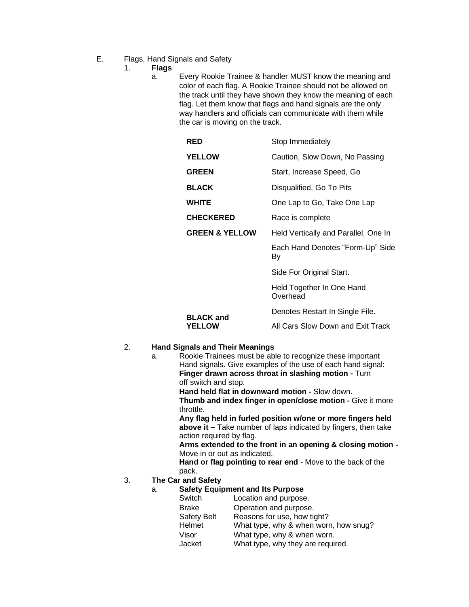- E. Flags, Hand Signals and Safety
	- 1. **Flags**
		- a. Every Rookie Trainee & handler MUST know the meaning and color of each flag. A Rookie Trainee should not be allowed on the track until they have shown they know the meaning of each flag. Let them know that flags and hand signals are the only way handlers and officials can communicate with them while the car is moving on the track.

| <b>RED</b>                | Stop Immediately                       |
|---------------------------|----------------------------------------|
| <b>YELLOW</b>             | Caution, Slow Down, No Passing         |
| <b>GREEN</b>              | Start, Increase Speed, Go              |
| <b>BLACK</b>              | Disqualified, Go To Pits               |
| <b>WHITE</b>              | One Lap to Go, Take One Lap            |
| <b>CHECKERED</b>          | Race is complete                       |
| <b>GREEN &amp; YELLOW</b> | Held Vertically and Parallel, One In   |
|                           | Each Hand Denotes "Form-Up" Side<br>By |
|                           | Side For Original Start.               |
|                           | Held Together In One Hand<br>Overhead  |
| <b>BLACK and</b>          | Denotes Restart In Single File.        |
| <b>YELLOW</b>             | All Cars Slow Down and Exit Track      |

## 2. **Hand Signals and Their Meanings**

a. Rookie Trainees must be able to recognize these important Hand signals. Give examples of the use of each hand signal: **Finger drawn across throat in slashing motion -** Turn off switch and stop.

**Hand held flat in downward motion -** Slow down. **Thumb and index finger in open/close motion -** Give it more throttle.

**Any flag held in furled position w/one or more fingers held above it –** Take number of laps indicated by fingers, then take action required by flag.

**Arms extended to the front in an opening & closing motion -** Move in or out as indicated.

**Hand or flag pointing to rear end** - Move to the back of the pack.

## 3. **The Car and Safety**

#### a. **Safety Equipment and Its Purpose**

| Switch       | Location and purpose.                 |
|--------------|---------------------------------------|
| <b>Brake</b> | Operation and purpose.                |
| Safety Belt  | Reasons for use, how tight?           |
| Helmet       | What type, why & when worn, how snug? |
| Visor        | What type, why & when worn.           |
| Jacket       | What type, why they are required.     |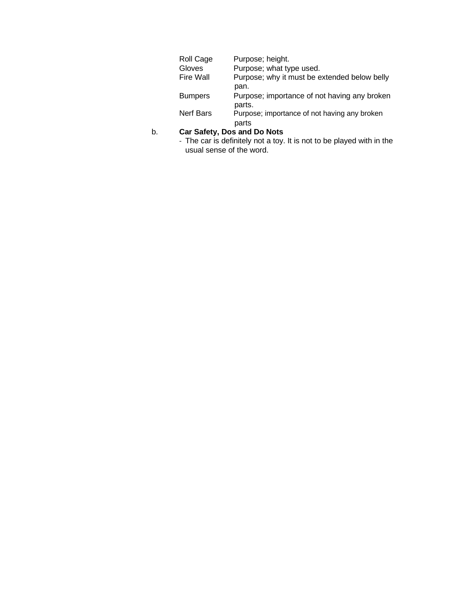| Roll Cage      | Purpose; height.                                       |
|----------------|--------------------------------------------------------|
| Gloves         | Purpose; what type used.                               |
| Fire Wall      | Purpose; why it must be extended below belly           |
|                | pan.                                                   |
| <b>Bumpers</b> | Purpose; importance of not having any broken<br>parts. |
| Nerf Bars      | Purpose; importance of not having any broken           |
|                | parts                                                  |

## b. **Car Safety, Dos and Do Nots**

- The car is definitely not a toy. It is not to be played with in the usual sense of the word.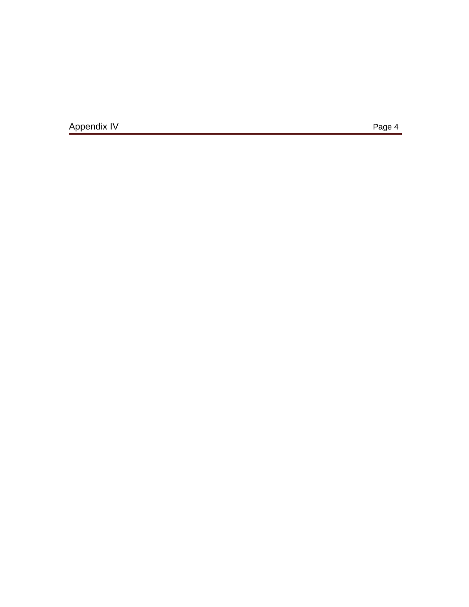Appendix IV Page 4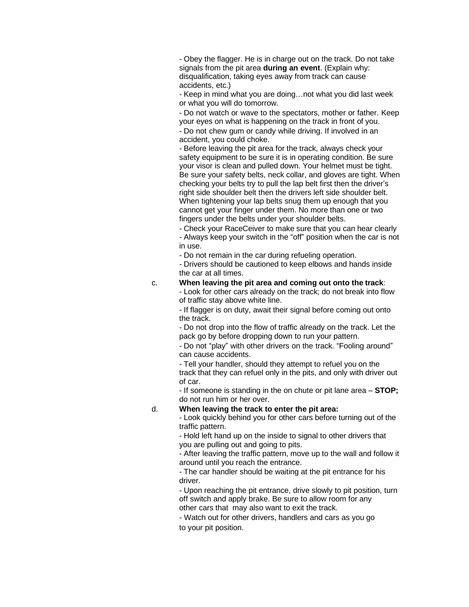- Obey the flagger. He is in charge out on the track. Do not take signals from the pit area **during an event**. (Explain why: disqualification, taking eyes away from track can cause accidents, etc.)

- Keep in mind what you are doing…not what you did last week or what you will do tomorrow.

- Do not watch or wave to the spectators, mother or father. Keep your eyes on what is happening on the track in front of you.

- Do not chew gum or candy while driving. If involved in an accident, you could choke.

- Before leaving the pit area for the track, always check your safety equipment to be sure it is in operating condition. Be sure your visor is clean and pulled down. Your helmet must be tight. Be sure your safety belts, neck collar, and gloves are tight. When checking your belts try to pull the lap belt first then the driver's right side shoulder belt then the drivers left side shoulder belt. When tightening your lap belts snug them up enough that you cannot get your finger under them. No more than one or two fingers under the belts under your shoulder belts.

- Check your RaceCeiver to make sure that you can hear clearly - Always keep your switch in the "off" position when the car is not in use.

- Do not remain in the car during refueling operation.

- Drivers should be cautioned to keep elbows and hands inside the car at all times.

#### c. **When leaving the pit area and coming out onto the track**:

- Look for other cars already on the track; do not break into flow of traffic stay above white line.

- If flagger is on duty, await their signal before coming out onto the track.

- Do not drop into the flow of traffic already on the track. Let the pack go by before dropping down to run your pattern.

- Do not "play" with other drivers on the track. "Fooling around" can cause accidents.

- Tell your handler, should they attempt to refuel you on the track that they can refuel only in the pits, and only with driver out of car.

- If someone is standing in the on chute or pit lane area – **STOP;** do not run him or her over.

#### d. **When leaving the track to enter the pit area:**

- Look quickly behind you for other cars before turning out of the traffic pattern.

- Hold left hand up on the inside to signal to other drivers that you are pulling out and going to pits.

- After leaving the traffic pattern, move up to the wall and follow it around until you reach the entrance.

- The car handler should be waiting at the pit entrance for his driver.

- Upon reaching the pit entrance, drive slowly to pit position, turn off switch and apply brake. Be sure to allow room for any other cars that may also want to exit the track.

- Watch out for other drivers, handlers and cars as you go to your pit position.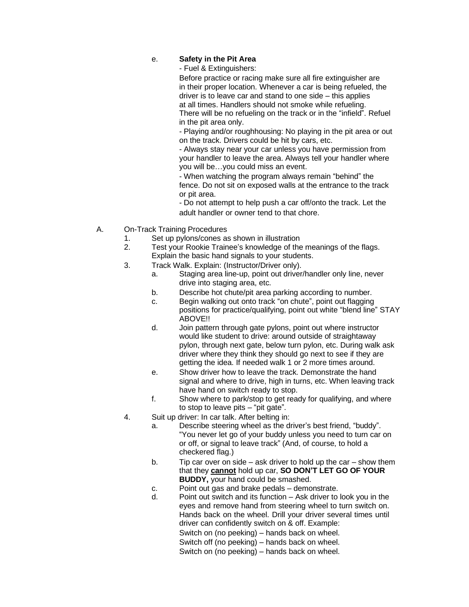## e. **Safety in the Pit Area**

- Fuel & Extinguishers:

Before practice or racing make sure all fire extinguisher are in their proper location. Whenever a car is being refueled, the driver is to leave car and stand to one side – this applies at all times. Handlers should not smoke while refueling. There will be no refueling on the track or in the "infield". Refuel in the pit area only.

- Playing and/or roughhousing: No playing in the pit area or out on the track. Drivers could be hit by cars, etc.

- Always stay near your car unless you have permission from your handler to leave the area. Always tell your handler where you will be…you could miss an event.

- When watching the program always remain "behind" the fence. Do not sit on exposed walls at the entrance to the track or pit area.

- Do not attempt to help push a car off/onto the track. Let the adult handler or owner tend to that chore.

- A. On-Track Training Procedures
	- 1. Set up pylons/cones as shown in illustration
	- 2. Test your Rookie Trainee's knowledge of the meanings of the flags. Explain the basic hand signals to your students.
	- 3. Track Walk. Explain: (Instructor/Driver only).
		- a. Staging area line-up, point out driver/handler only line, never drive into staging area, etc.
		- b. Describe hot chute/pit area parking according to number.
		- c. Begin walking out onto track "on chute", point out flagging positions for practice/qualifying, point out white "blend line" STAY ABOVE!!
		- d. Join pattern through gate pylons, point out where instructor would like student to drive: around outside of straightaway pylon, through next gate, below turn pylon, etc. During walk ask driver where they think they should go next to see if they are getting the idea. If needed walk 1 or 2 more times around.
		- e. Show driver how to leave the track. Demonstrate the hand signal and where to drive, high in turns, etc. When leaving track have hand on switch ready to stop.
		- f. Show where to park/stop to get ready for qualifying, and where to stop to leave pits – "pit gate".
	- 4. Suit up driver: In car talk. After belting in:
		- a. Describe steering wheel as the driver's best friend, "buddy". "You never let go of your buddy unless you need to turn car on or off, or signal to leave track" (And, of course, to hold a checkered flag.)
		- b. Tip car over on side ask driver to hold up the car show them that they **cannot** hold up car, **SO DON'T LET GO OF YOUR BUDDY,** your hand could be smashed.
		- c. Point out gas and brake pedals demonstrate.
		- d. Point out switch and its function Ask driver to look you in the eyes and remove hand from steering wheel to turn switch on. Hands back on the wheel. Drill your driver several times until driver can confidently switch on & off. Example: Switch on (no peeking) – hands back on wheel. Switch off (no peeking) – hands back on wheel. Switch on (no peeking) – hands back on wheel.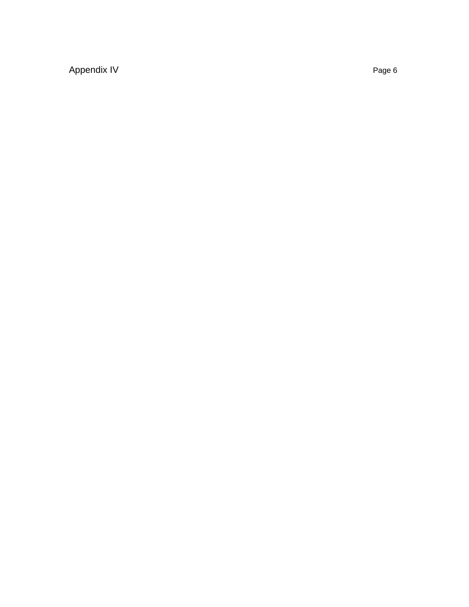Appendix IV Page 6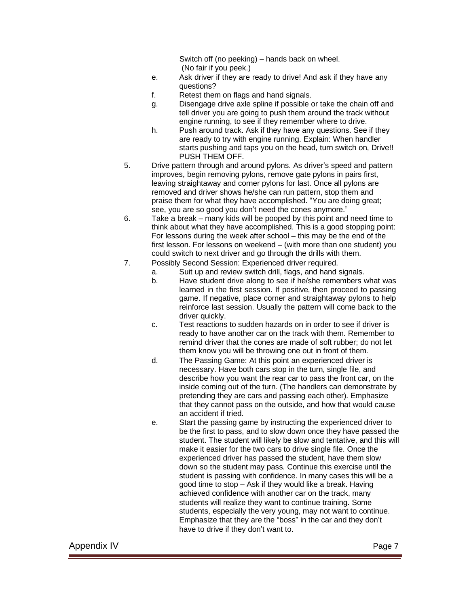Switch off (no peeking) – hands back on wheel. (No fair if you peek.)

- e. Ask driver if they are ready to drive! And ask if they have any questions?
- f. Retest them on flags and hand signals.
- g. Disengage drive axle spline if possible or take the chain off and tell driver you are going to push them around the track without engine running, to see if they remember where to drive.
- h. Push around track. Ask if they have any questions. See if they are ready to try with engine running. Explain: When handler starts pushing and taps you on the head, turn switch on, Drive!! PUSH THEM OFF.
- 5. Drive pattern through and around pylons. As driver's speed and pattern improves, begin removing pylons, remove gate pylons in pairs first, leaving straightaway and corner pylons for last. Once all pylons are removed and driver shows he/she can run pattern, stop them and praise them for what they have accomplished. "You are doing great; see, you are so good you don't need the cones anymore."
- 6. Take a break many kids will be pooped by this point and need time to think about what they have accomplished. This is a good stopping point: For lessons during the week after school – this may be the end of the first lesson. For lessons on weekend – (with more than one student) you could switch to next driver and go through the drills with them.
- 7. Possibly Second Session: Experienced driver required.
	- a. Suit up and review switch drill, flags, and hand signals.
	- b. Have student drive along to see if he/she remembers what was learned in the first session. If positive, then proceed to passing game. If negative, place corner and straightaway pylons to help reinforce last session. Usually the pattern will come back to the driver quickly.
	- c. Test reactions to sudden hazards on in order to see if driver is ready to have another car on the track with them. Remember to remind driver that the cones are made of soft rubber; do not let them know you will be throwing one out in front of them.
	- d. The Passing Game: At this point an experienced driver is necessary. Have both cars stop in the turn, single file, and describe how you want the rear car to pass the front car, on the inside coming out of the turn. (The handlers can demonstrate by pretending they are cars and passing each other). Emphasize that they cannot pass on the outside, and how that would cause an accident if tried.
	- e. Start the passing game by instructing the experienced driver to be the first to pass, and to slow down once they have passed the student. The student will likely be slow and tentative, and this will make it easier for the two cars to drive single file. Once the experienced driver has passed the student, have them slow down so the student may pass. Continue this exercise until the student is passing with confidence. In many cases this will be a good time to stop – Ask if they would like a break. Having achieved confidence with another car on the track, many students will realize they want to continue training. Some students, especially the very young, may not want to continue. Emphasize that they are the "boss" in the car and they don't have to drive if they don't want to.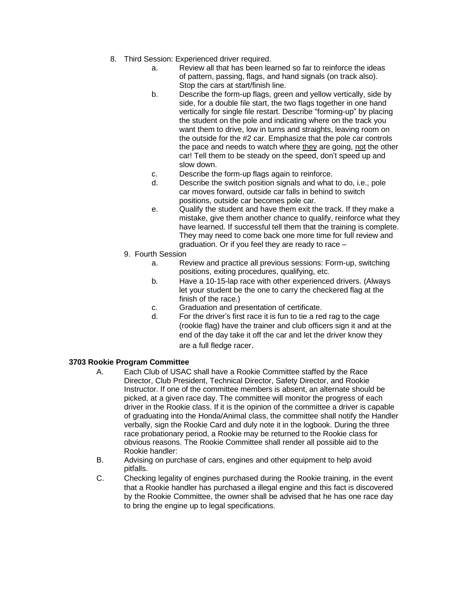- 8. Third Session: Experienced driver required.
	- a. Review all that has been learned so far to reinforce the ideas of pattern, passing, flags, and hand signals (on track also). Stop the cars at start/finish line.
	- b. Describe the form-up flags, green and yellow vertically, side by side, for a double file start, the two flags together in one hand vertically for single file restart. Describe "forming-up" by placing the student on the pole and indicating where on the track you want them to drive, low in turns and straights, leaving room on the outside for the #2 car. Emphasize that the pole car controls the pace and needs to watch where they are going, not the other car! Tell them to be steady on the speed, don't speed up and slow down.
	- c. Describe the form-up flags again to reinforce.
	- d. Describe the switch position signals and what to do, i.e., pole car moves forward, outside car falls in behind to switch positions, outside car becomes pole car.
	- e. Qualify the student and have them exit the track. If they make a mistake, give them another chance to qualify, reinforce what they have learned. If successful tell them that the training is complete. They may need to come back one more time for full review and graduation. Or if you feel they are ready to race –
	- 9. Fourth Session
		- a. Review and practice all previous sessions: Form-up, switching positions, exiting procedures, qualifying, etc.
		- b. Have a 10-15-lap race with other experienced drivers. (Always let your student be the one to carry the checkered flag at the finish of the race.)
		- c. Graduation and presentation of certificate.
		- d. For the driver's first race it is fun to tie a red rag to the cage (rookie flag) have the trainer and club officers sign it and at the end of the day take it off the car and let the driver know they are a full fledge racer.

## **3703 Rookie Program Committee**

- A. Each Club of USAC shall have a Rookie Committee staffed by the Race Director, Club President, Technical Director, Safety Director, and Rookie Instructor. If one of the committee members is absent, an alternate should be picked, at a given race day. The committee will monitor the progress of each driver in the Rookie class. If it is the opinion of the committee a driver is capable of graduating into the Honda/Animal class, the committee shall notify the Handler verbally, sign the Rookie Card and duly note it in the logbook. During the three race probationary period, a Rookie may be returned to the Rookie class for obvious reasons. The Rookie Committee shall render all possible aid to the Rookie handler:
- B. Advising on purchase of cars, engines and other equipment to help avoid pitfalls.
- C. Checking legality of engines purchased during the Rookie training, in the event that a Rookie handler has purchased a illegal engine and this fact is discovered by the Rookie Committee, the owner shall be advised that he has one race day to bring the engine up to legal specifications.